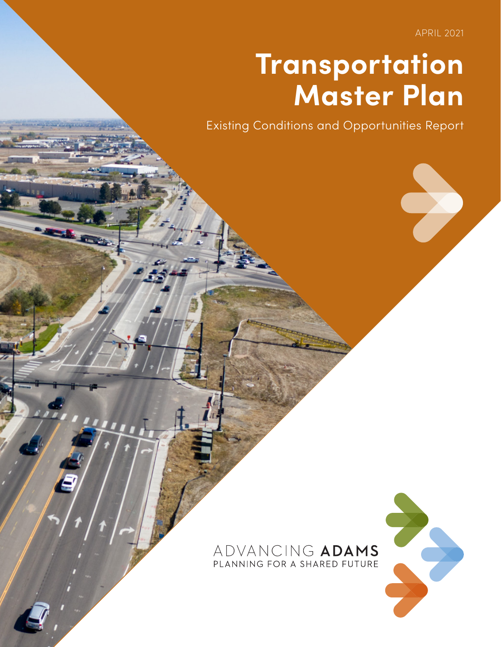APRIL 2021

## **Transportation Master Plan**

Existing Conditions and Opportunities Report

## ADVANCING ADAMS PLANNING FOR A SHARED FUTURE